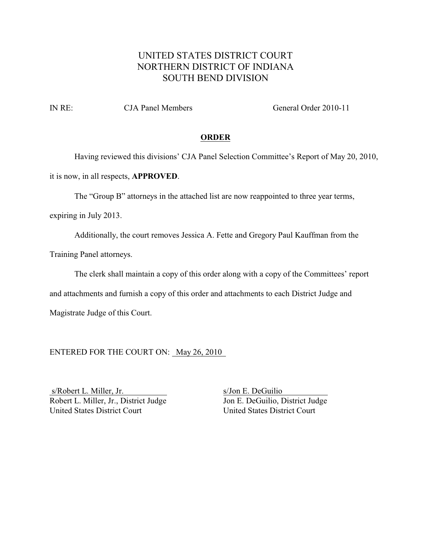## UNITED STATES DISTRICT COURT NORTHERN DISTRICT OF INDIANA SOUTH BEND DIVISION

IN RE: CJA Panel Members General Order 2010-11

## **ORDER**

Having reviewed this divisions' CJA Panel Selection Committee's Report of May 20, 2010,

it is now, in all respects, **APPROVED**.

The "Group B" attorneys in the attached list are now reappointed to three year terms,

expiring in July 2013.

Additionally, the court removes Jessica A. Fette and Gregory Paul Kauffman from the

Training Panel attorneys.

The clerk shall maintain a copy of this order along with a copy of the Committees' report

and attachments and furnish a copy of this order and attachments to each District Judge and

Magistrate Judge of this Court.

ENTERED FOR THE COURT ON: May 26, 2010

s/Robert L. Miller, Jr. s/Jon E. DeGuilio Robert L. Miller, Jr., District Judge<br>
United States District Court<br>
United States District Court<br>
United States District Court United States District Court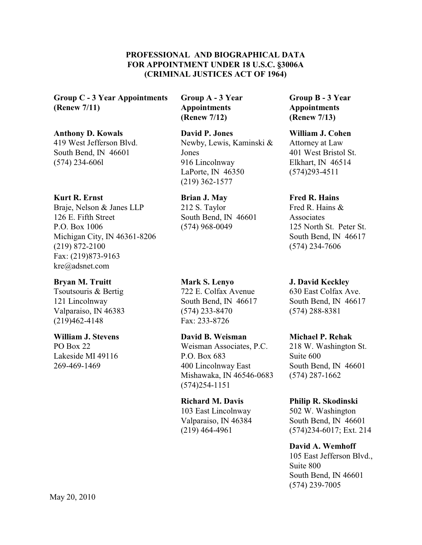## **PROFESSIONAL AND BIOGRAPHICAL DATA FOR APPOINTMENT UNDER 18 U.S.C. §3006A (CRIMINAL JUSTICES ACT OF 1964)**

**Group C - 3 Year Appointments (Renew 7/11)**

## **Anthony D. Kowals**

419 West Jefferson Blvd. South Bend, IN 46601 (574) 234-606l

## **Kurt R. Ernst**

Braje, Nelson & Janes LLP 126 E. Fifth Street P.O. Box 1006 Michigan City, IN 46361-8206 (219) 872-2100 Fax: (219)873-9163 kre@adsnet.com

## **Bryan M. Truitt**

Tsoutsouris & Bertig 121 Lincolnway Valparaiso, IN 46383 (219)462-4148

## **William J. Stevens**

PO Box 22 Lakeside MI 49116 269-469-1469

**Group A - 3 Year Appointments (Renew 7/12)**

## **David P. Jones**

Newby, Lewis, Kaminski & Jones 916 Lincolnway LaPorte, IN 46350 (219) 362-1577

## **Brian J. May**

212 S. Taylor South Bend, IN 46601 (574) 968-0049

## **Mark S. Lenyo**

722 E. Colfax Avenue South Bend, IN 46617 (574) 233-8470 Fax: 233-8726

## **David B. Weisman** Weisman Associates, P.C. P.O. Box 683 400 Lincolnway East Mishawaka, IN 46546-0683

# **Richard M. Davis** 103 East Lincolnway

(574)254-1151

Valparaiso, IN 46384 (219) 464-4961

## **Group B - 3 Year Appointments (Renew 7/13)**

## **William J. Cohen**

Attorney at Law 401 West Bristol St. Elkhart, IN 46514 (574)293-4511

## **Fred R. Hains**

Fred R. Hains & Associates 125 North St. Peter St. South Bend, IN 46617 (574) 234-7606

## **J. David Keckley**

630 East Colfax Ave. South Bend, IN 46617 (574) 288-8381

## **Michael P. Rehak**

218 W. Washington St. Suite 600 South Bend, IN 46601 (574) 287-1662

## **Philip R. Skodinski**

502 W. Washington South Bend, IN 46601 (574)234-6017; Ext. 214

## **David A. Wemhoff**

105 East Jefferson Blvd., Suite 800 South Bend, IN 46601 (574) 239-7005